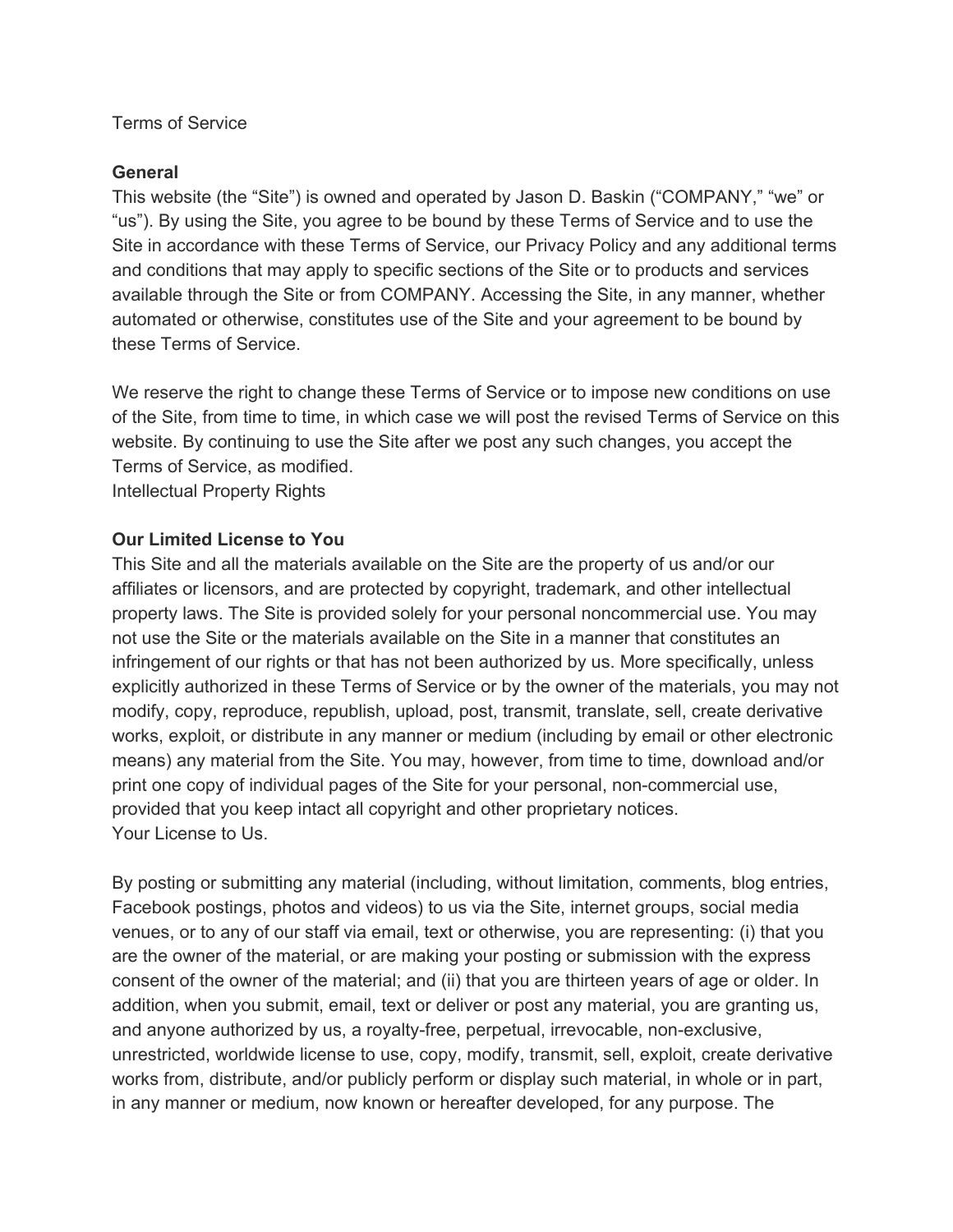### Terms of Service

### **General**

This website (the "Site") is owned and operated by Jason D. Baskin ("COMPANY," "we" or "us"). By using the Site, you agree to be bound by these Terms of Service and to use the Site in accordance with these Terms of Service, our Privacy Policy and any additional terms and conditions that may apply to specific sections of the Site or to products and services available through the Site or from COMPANY. Accessing the Site, in any manner, whether automated or otherwise, constitutes use of the Site and your agreement to be bound by these Terms of Service.

We reserve the right to change these Terms of Service or to impose new conditions on use of the Site, from time to time, in which case we will post the revised Terms of Service on this website. By continuing to use the Site after we post any such changes, you accept the Terms of Service, as modified. Intellectual Property Rights

### **Our Limited License to You**

This Site and all the materials available on the Site are the property of us and/or our affiliates or licensors, and are protected by copyright, trademark, and other intellectual property laws. The Site is provided solely for your personal noncommercial use. You may not use the Site or the materials available on the Site in a manner that constitutes an infringement of our rights or that has not been authorized by us. More specifically, unless explicitly authorized in these Terms of Service or by the owner of the materials, you may not modify, copy, reproduce, republish, upload, post, transmit, translate, sell, create derivative works, exploit, or distribute in any manner or medium (including by email or other electronic means) any material from the Site. You may, however, from time to time, download and/or print one copy of individual pages of the Site for your personal, non-commercial use, provided that you keep intact all copyright and other proprietary notices. Your License to Us.

By posting or submitting any material (including, without limitation, comments, blog entries, Facebook postings, photos and videos) to us via the Site, internet groups, social media venues, or to any of our staff via email, text or otherwise, you are representing: (i) that you are the owner of the material, or are making your posting or submission with the express consent of the owner of the material; and (ii) that you are thirteen years of age or older. In addition, when you submit, email, text or deliver or post any material, you are granting us, and anyone authorized by us, a royalty-free, perpetual, irrevocable, non-exclusive, unrestricted, worldwide license to use, copy, modify, transmit, sell, exploit, create derivative works from, distribute, and/or publicly perform or display such material, in whole or in part, in any manner or medium, now known or hereafter developed, for any purpose. The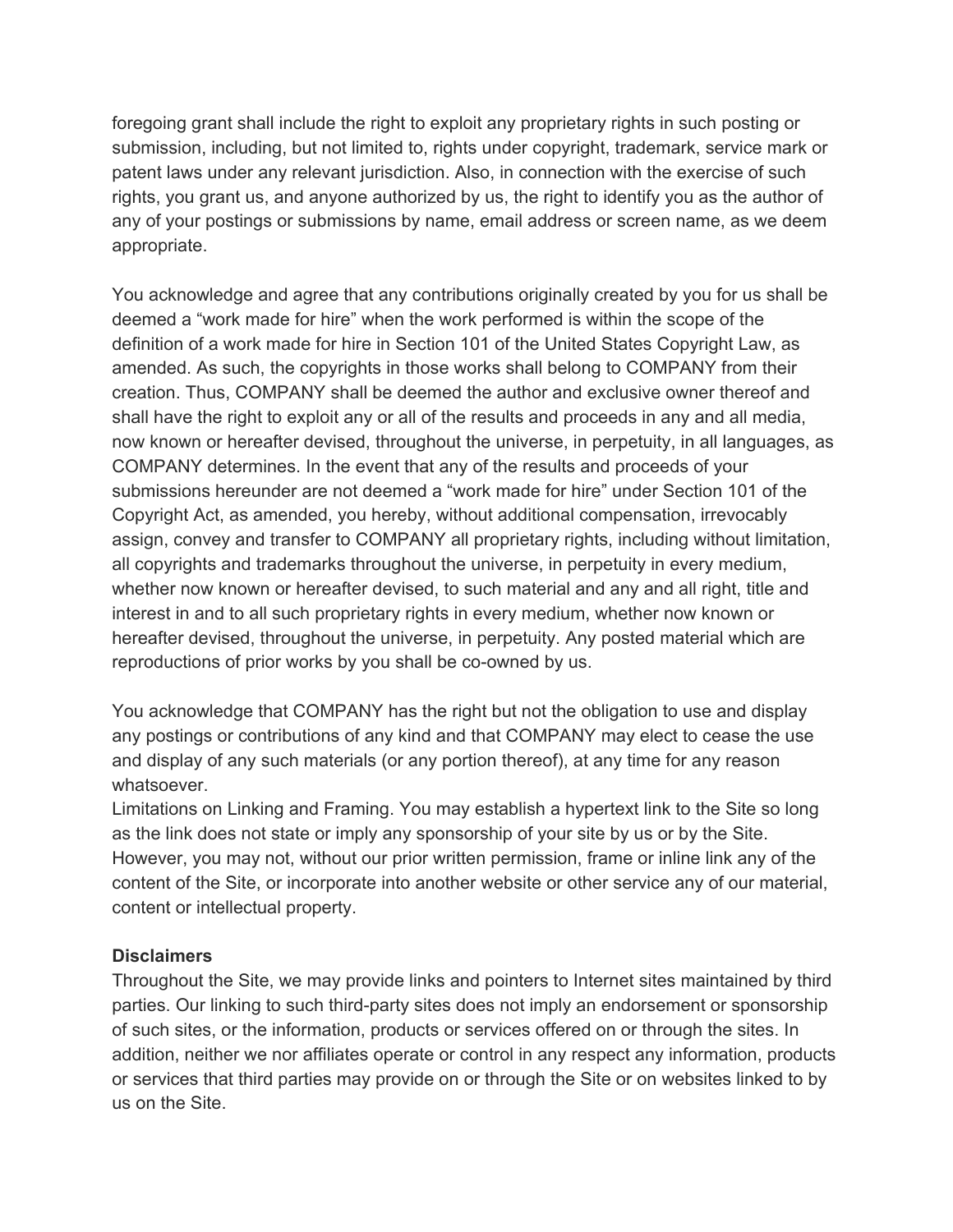foregoing grant shall include the right to exploit any proprietary rights in such posting or submission, including, but not limited to, rights under copyright, trademark, service mark or patent laws under any relevant jurisdiction. Also, in connection with the exercise of such rights, you grant us, and anyone authorized by us, the right to identify you as the author of any of your postings or submissions by name, email address or screen name, as we deem appropriate.

You acknowledge and agree that any contributions originally created by you for us shall be deemed a "work made for hire" when the work performed is within the scope of the definition of a work made for hire in Section 101 of the United States Copyright Law, as amended. As such, the copyrights in those works shall belong to COMPANY from their creation. Thus, COMPANY shall be deemed the author and exclusive owner thereof and shall have the right to exploit any or all of the results and proceeds in any and all media, now known or hereafter devised, throughout the universe, in perpetuity, in all languages, as COMPANY determines. In the event that any of the results and proceeds of your submissions hereunder are not deemed a "work made for hire" under Section 101 of the Copyright Act, as amended, you hereby, without additional compensation, irrevocably assign, convey and transfer to COMPANY all proprietary rights, including without limitation, all copyrights and trademarks throughout the universe, in perpetuity in every medium, whether now known or hereafter devised, to such material and any and all right, title and interest in and to all such proprietary rights in every medium, whether now known or hereafter devised, throughout the universe, in perpetuity. Any posted material which are reproductions of prior works by you shall be co-owned by us.

You acknowledge that COMPANY has the right but not the obligation to use and display any postings or contributions of any kind and that COMPANY may elect to cease the use and display of any such materials (or any portion thereof), at any time for any reason whatsoever.

Limitations on Linking and Framing. You may establish a hypertext link to the Site so long as the link does not state or imply any sponsorship of your site by us or by the Site. However, you may not, without our prior written permission, frame or inline link any of the content of the Site, or incorporate into another website or other service any of our material, content or intellectual property.

## **Disclaimers**

Throughout the Site, we may provide links and pointers to Internet sites maintained by third parties. Our linking to such third-party sites does not imply an endorsement or sponsorship of such sites, or the information, products or services offered on or through the sites. In addition, neither we nor affiliates operate or control in any respect any information, products or services that third parties may provide on or through the Site or on websites linked to by us on the Site.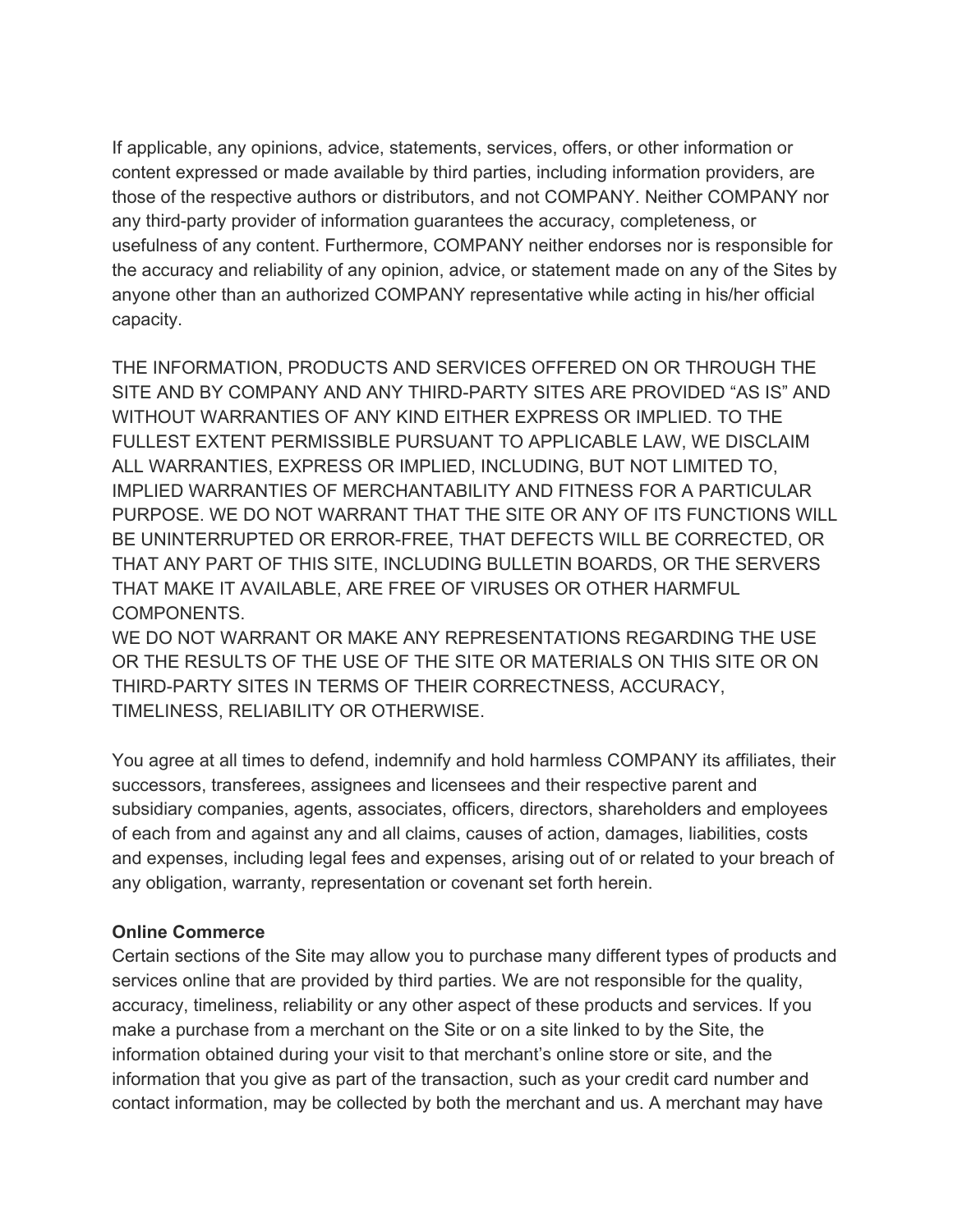If applicable, any opinions, advice, statements, services, offers, or other information or content expressed or made available by third parties, including information providers, are those of the respective authors or distributors, and not COMPANY. Neither COMPANY nor any third-party provider of information guarantees the accuracy, completeness, or usefulness of any content. Furthermore, COMPANY neither endorses nor is responsible for the accuracy and reliability of any opinion, advice, or statement made on any of the Sites by anyone other than an authorized COMPANY representative while acting in his/her official capacity.

THE INFORMATION, PRODUCTS AND SERVICES OFFERED ON OR THROUGH THE SITE AND BY COMPANY AND ANY THIRD-PARTY SITES ARE PROVIDED "AS IS" AND WITHOUT WARRANTIES OF ANY KIND EITHER EXPRESS OR IMPLIED. TO THE FULLEST EXTENT PERMISSIBLE PURSUANT TO APPLICABLE LAW, WE DISCLAIM ALL WARRANTIES, EXPRESS OR IMPLIED, INCLUDING, BUT NOT LIMITED TO, IMPLIED WARRANTIES OF MERCHANTABILITY AND FITNESS FOR A PARTICULAR PURPOSE. WE DO NOT WARRANT THAT THE SITE OR ANY OF ITS FUNCTIONS WILL BE UNINTERRUPTED OR ERROR-FREE, THAT DEFECTS WILL BE CORRECTED, OR THAT ANY PART OF THIS SITE, INCLUDING BULLETIN BOARDS, OR THE SERVERS THAT MAKE IT AVAILABLE, ARE FREE OF VIRUSES OR OTHER HARMFUL COMPONENTS.

WE DO NOT WARRANT OR MAKE ANY REPRESENTATIONS REGARDING THE USE OR THE RESULTS OF THE USE OF THE SITE OR MATERIALS ON THIS SITE OR ON THIRD-PARTY SITES IN TERMS OF THEIR CORRECTNESS, ACCURACY, TIMELINESS, RELIABILITY OR OTHERWISE.

You agree at all times to defend, indemnify and hold harmless COMPANY its affiliates, their successors, transferees, assignees and licensees and their respective parent and subsidiary companies, agents, associates, officers, directors, shareholders and employees of each from and against any and all claims, causes of action, damages, liabilities, costs and expenses, including legal fees and expenses, arising out of or related to your breach of any obligation, warranty, representation or covenant set forth herein.

#### **Online Commerce**

Certain sections of the Site may allow you to purchase many different types of products and services online that are provided by third parties. We are not responsible for the quality, accuracy, timeliness, reliability or any other aspect of these products and services. If you make a purchase from a merchant on the Site or on a site linked to by the Site, the information obtained during your visit to that merchant's online store or site, and the information that you give as part of the transaction, such as your credit card number and contact information, may be collected by both the merchant and us. A merchant may have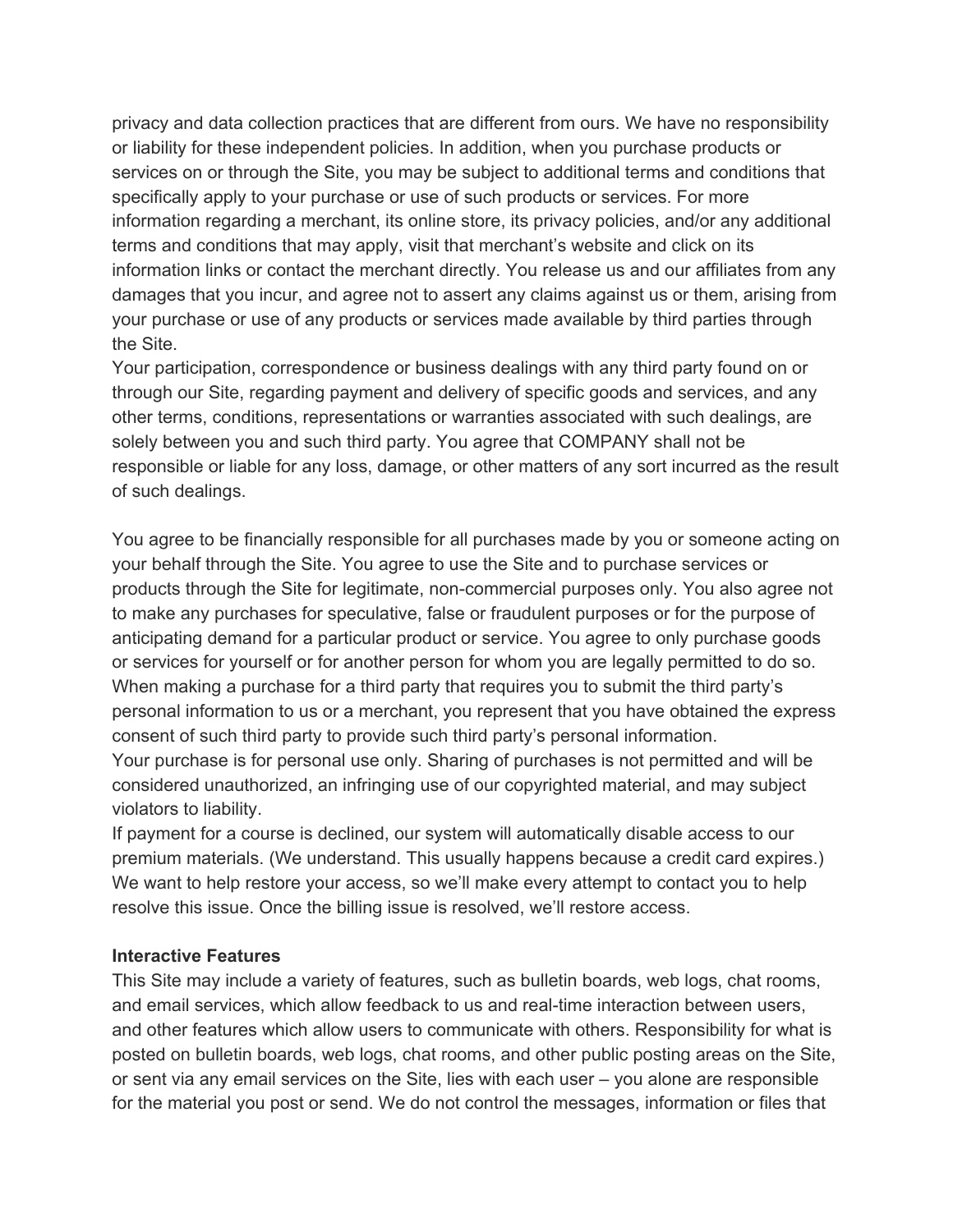privacy and data collection practices that are different from ours. We have no responsibility or liability for these independent policies. In addition, when you purchase products or services on or through the Site, you may be subject to additional terms and conditions that specifically apply to your purchase or use of such products or services. For more information regarding a merchant, its online store, its privacy policies, and/or any additional terms and conditions that may apply, visit that merchant's website and click on its information links or contact the merchant directly. You release us and our affiliates from any damages that you incur, and agree not to assert any claims against us or them, arising from your purchase or use of any products or services made available by third parties through the Site.

Your participation, correspondence or business dealings with any third party found on or through our Site, regarding payment and delivery of specific goods and services, and any other terms, conditions, representations or warranties associated with such dealings, are solely between you and such third party. You agree that COMPANY shall not be responsible or liable for any loss, damage, or other matters of any sort incurred as the result of such dealings.

You agree to be financially responsible for all purchases made by you or someone acting on your behalf through the Site. You agree to use the Site and to purchase services or products through the Site for legitimate, non-commercial purposes only. You also agree not to make any purchases for speculative, false or fraudulent purposes or for the purpose of anticipating demand for a particular product or service. You agree to only purchase goods or services for yourself or for another person for whom you are legally permitted to do so. When making a purchase for a third party that requires you to submit the third party's personal information to us or a merchant, you represent that you have obtained the express consent of such third party to provide such third party's personal information.

Your purchase is for personal use only. Sharing of purchases is not permitted and will be considered unauthorized, an infringing use of our copyrighted material, and may subject violators to liability.

If payment for a course is declined, our system will automatically disable access to our premium materials. (We understand. This usually happens because a credit card expires.) We want to help restore your access, so we'll make every attempt to contact you to help resolve this issue. Once the billing issue is resolved, we'll restore access.

#### **Interactive Features**

This Site may include a variety of features, such as bulletin boards, web logs, chat rooms, and email services, which allow feedback to us and real-time interaction between users, and other features which allow users to communicate with others. Responsibility for what is posted on bulletin boards, web logs, chat rooms, and other public posting areas on the Site, or sent via any email services on the Site, lies with each user – you alone are responsible for the material you post or send. We do not control the messages, information or files that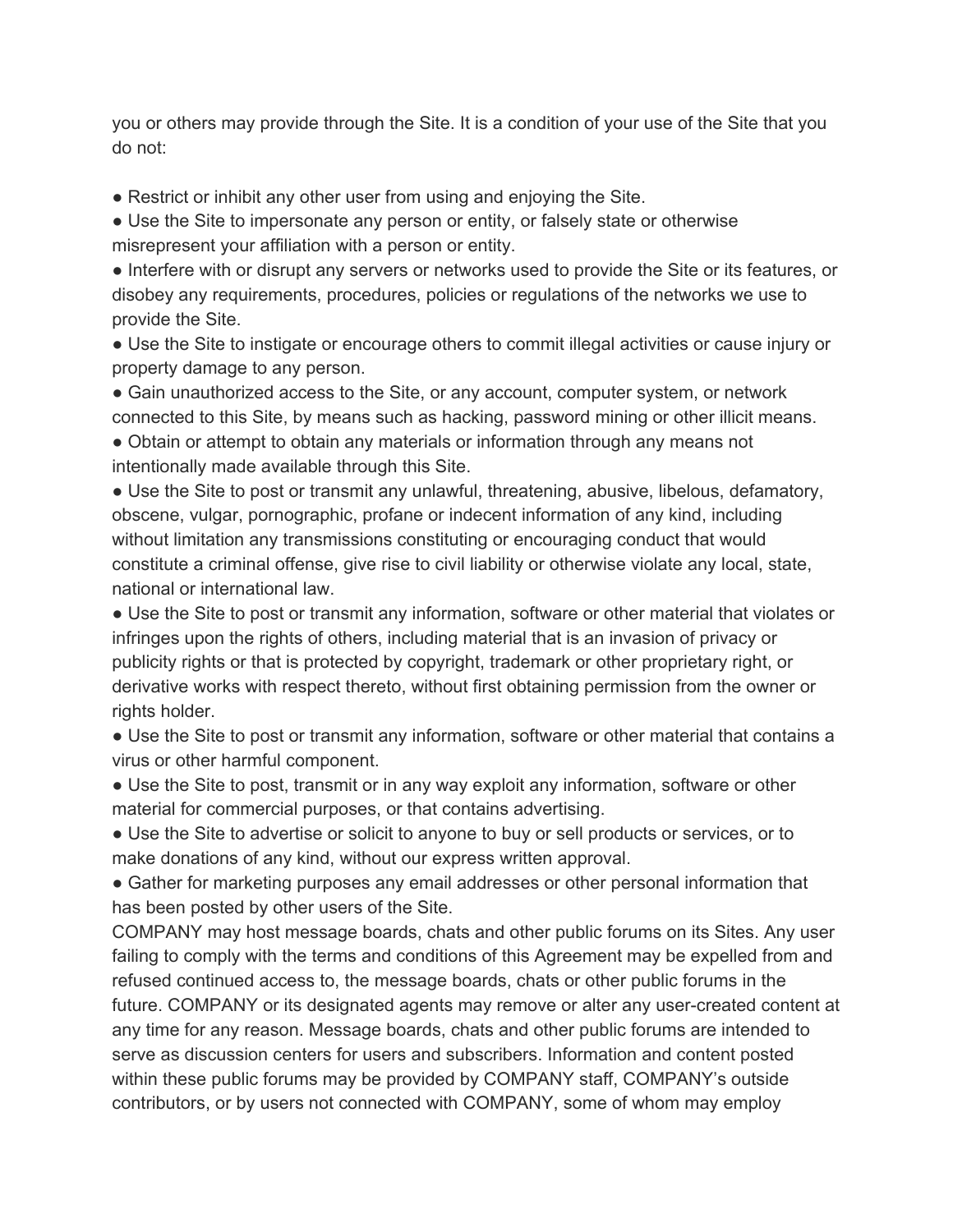you or others may provide through the Site. It is a condition of your use of the Site that you do not:

• Restrict or inhibit any other user from using and enjoying the Site.

• Use the Site to impersonate any person or entity, or falsely state or otherwise misrepresent your affiliation with a person or entity.

● Interfere with or disrupt any servers or networks used to provide the Site or its features, or disobey any requirements, procedures, policies or regulations of the networks we use to provide the Site.

● Use the Site to instigate or encourage others to commit illegal activities or cause injury or property damage to any person.

● Gain unauthorized access to the Site, or any account, computer system, or network connected to this Site, by means such as hacking, password mining or other illicit means.

● Obtain or attempt to obtain any materials or information through any means not intentionally made available through this Site.

● Use the Site to post or transmit any unlawful, threatening, abusive, libelous, defamatory, obscene, vulgar, pornographic, profane or indecent information of any kind, including without limitation any transmissions constituting or encouraging conduct that would constitute a criminal offense, give rise to civil liability or otherwise violate any local, state, national or international law.

● Use the Site to post or transmit any information, software or other material that violates or infringes upon the rights of others, including material that is an invasion of privacy or publicity rights or that is protected by copyright, trademark or other proprietary right, or derivative works with respect thereto, without first obtaining permission from the owner or rights holder.

• Use the Site to post or transmit any information, software or other material that contains a virus or other harmful component.

● Use the Site to post, transmit or in any way exploit any information, software or other material for commercial purposes, or that contains advertising.

● Use the Site to advertise or solicit to anyone to buy or sell products or services, or to make donations of any kind, without our express written approval.

• Gather for marketing purposes any email addresses or other personal information that has been posted by other users of the Site.

COMPANY may host message boards, chats and other public forums on its Sites. Any user failing to comply with the terms and conditions of this Agreement may be expelled from and refused continued access to, the message boards, chats or other public forums in the future. COMPANY or its designated agents may remove or alter any user-created content at any time for any reason. Message boards, chats and other public forums are intended to serve as discussion centers for users and subscribers. Information and content posted within these public forums may be provided by COMPANY staff, COMPANY's outside contributors, or by users not connected with COMPANY, some of whom may employ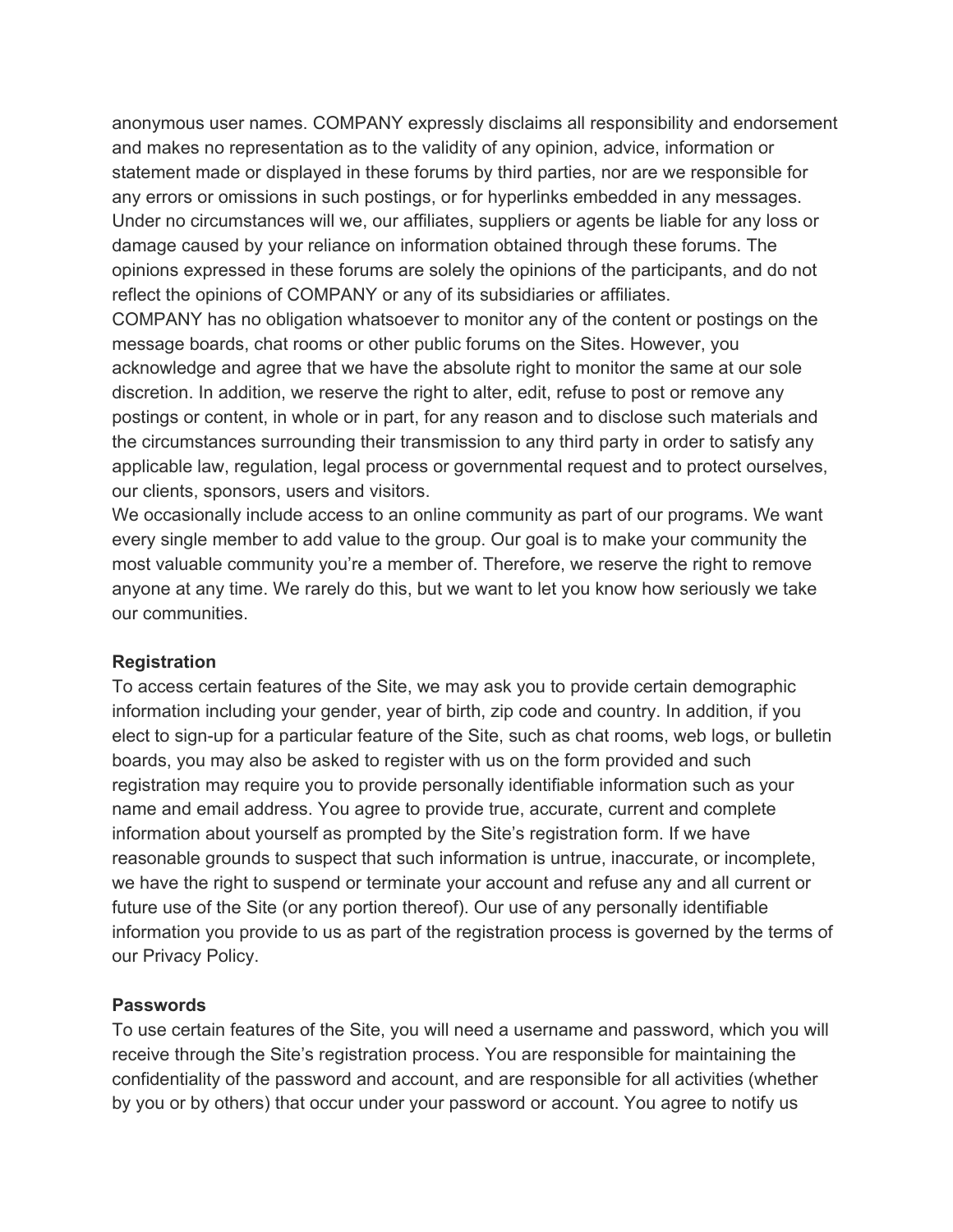anonymous user names. COMPANY expressly disclaims all responsibility and endorsement and makes no representation as to the validity of any opinion, advice, information or statement made or displayed in these forums by third parties, nor are we responsible for any errors or omissions in such postings, or for hyperlinks embedded in any messages. Under no circumstances will we, our affiliates, suppliers or agents be liable for any loss or damage caused by your reliance on information obtained through these forums. The opinions expressed in these forums are solely the opinions of the participants, and do not reflect the opinions of COMPANY or any of its subsidiaries or affiliates.

COMPANY has no obligation whatsoever to monitor any of the content or postings on the message boards, chat rooms or other public forums on the Sites. However, you acknowledge and agree that we have the absolute right to monitor the same at our sole discretion. In addition, we reserve the right to alter, edit, refuse to post or remove any postings or content, in whole or in part, for any reason and to disclose such materials and the circumstances surrounding their transmission to any third party in order to satisfy any applicable law, regulation, legal process or governmental request and to protect ourselves, our clients, sponsors, users and visitors.

We occasionally include access to an online community as part of our programs. We want every single member to add value to the group. Our goal is to make your community the most valuable community you're a member of. Therefore, we reserve the right to remove anyone at any time. We rarely do this, but we want to let you know how seriously we take our communities.

#### **Registration**

To access certain features of the Site, we may ask you to provide certain demographic information including your gender, year of birth, zip code and country. In addition, if you elect to sign-up for a particular feature of the Site, such as chat rooms, web logs, or bulletin boards, you may also be asked to register with us on the form provided and such registration may require you to provide personally identifiable information such as your name and email address. You agree to provide true, accurate, current and complete information about yourself as prompted by the Site's registration form. If we have reasonable grounds to suspect that such information is untrue, inaccurate, or incomplete, we have the right to suspend or terminate your account and refuse any and all current or future use of the Site (or any portion thereof). Our use of any personally identifiable information you provide to us as part of the registration process is governed by the terms of our Privacy Policy.

#### **Passwords**

To use certain features of the Site, you will need a username and password, which you will receive through the Site's registration process. You are responsible for maintaining the confidentiality of the password and account, and are responsible for all activities (whether by you or by others) that occur under your password or account. You agree to notify us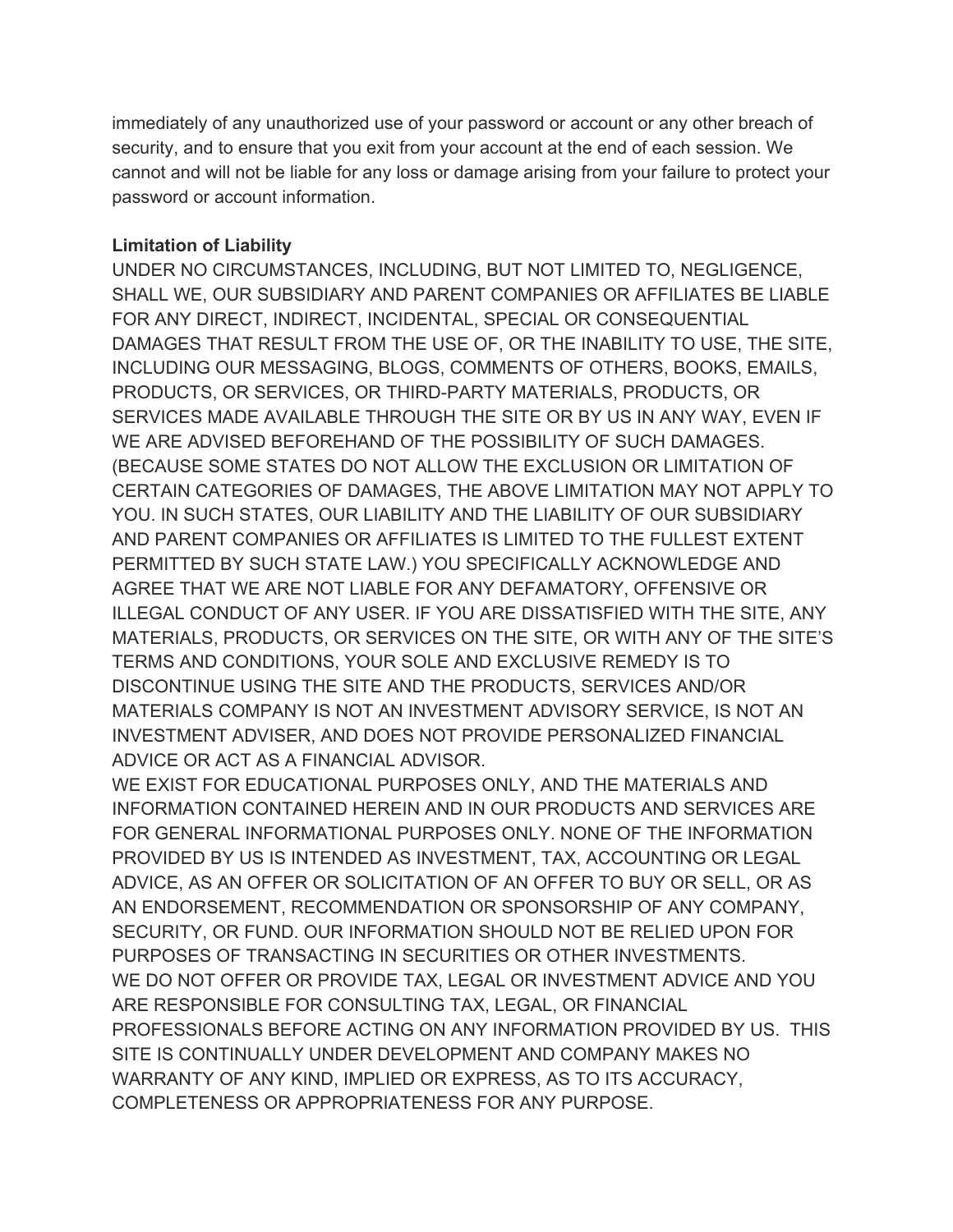immediately of any unauthorized use of your password or account or any other breach of security, and to ensure that you exit from your account at the end of each session. We cannot and will not be liable for any loss or damage arising from your failure to protect your password or account information.

## **Limitation of Liability**

UNDER NO CIRCUMSTANCES, INCLUDING, BUT NOT LIMITED TO, NEGLIGENCE, SHALL WE, OUR SUBSIDIARY AND PARENT COMPANIES OR AFFILIATES BE LIABLE FOR ANY DIRECT, INDIRECT, INCIDENTAL, SPECIAL OR CONSEQUENTIAL DAMAGES THAT RESULT FROM THE USE OF, OR THE INABILITY TO USE, THE SITE, INCLUDING OUR MESSAGING, BLOGS, COMMENTS OF OTHERS, BOOKS, EMAILS, PRODUCTS, OR SERVICES, OR THIRD-PARTY MATERIALS, PRODUCTS, OR SERVICES MADE AVAILABLE THROUGH THE SITE OR BY US IN ANY WAY, EVEN IF WE ARE ADVISED BEFOREHAND OF THE POSSIBILITY OF SUCH DAMAGES. (BECAUSE SOME STATES DO NOT ALLOW THE EXCLUSION OR LIMITATION OF CERTAIN CATEGORIES OF DAMAGES, THE ABOVE LIMITATION MAY NOT APPLY TO YOU. IN SUCH STATES, OUR LIABILITY AND THE LIABILITY OF OUR SUBSIDIARY AND PARENT COMPANIES OR AFFILIATES IS LIMITED TO THE FULLEST EXTENT PERMITTED BY SUCH STATE LAW.) YOU SPECIFICALLY ACKNOWLEDGE AND AGREE THAT WE ARE NOT LIABLE FOR ANY DEFAMATORY, OFFENSIVE OR ILLEGAL CONDUCT OF ANY USER. IF YOU ARE DISSATISFIED WITH THE SITE, ANY MATERIALS, PRODUCTS, OR SERVICES ON THE SITE, OR WITH ANY OF THE SITE'S TERMS AND CONDITIONS, YOUR SOLE AND EXCLUSIVE REMEDY IS TO DISCONTINUE USING THE SITE AND THE PRODUCTS, SERVICES AND/OR MATERIALS COMPANY IS NOT AN INVESTMENT ADVISORY SERVICE, IS NOT AN INVESTMENT ADVISER, AND DOES NOT PROVIDE PERSONALIZED FINANCIAL ADVICE OR ACT AS A FINANCIAL ADVISOR.

WE EXIST FOR EDUCATIONAL PURPOSES ONLY, AND THE MATERIALS AND INFORMATION CONTAINED HEREIN AND IN OUR PRODUCTS AND SERVICES ARE FOR GENERAL INFORMATIONAL PURPOSES ONLY. NONE OF THE INFORMATION PROVIDED BY US IS INTENDED AS INVESTMENT, TAX, ACCOUNTING OR LEGAL ADVICE, AS AN OFFER OR SOLICITATION OF AN OFFER TO BUY OR SELL, OR AS AN ENDORSEMENT, RECOMMENDATION OR SPONSORSHIP OF ANY COMPANY, SECURITY, OR FUND. OUR INFORMATION SHOULD NOT BE RELIED UPON FOR PURPOSES OF TRANSACTING IN SECURITIES OR OTHER INVESTMENTS. WE DO NOT OFFER OR PROVIDE TAX, LEGAL OR INVESTMENT ADVICE AND YOU ARE RESPONSIBLE FOR CONSULTING TAX, LEGAL, OR FINANCIAL PROFESSIONALS BEFORE ACTING ON ANY INFORMATION PROVIDED BY US. THIS SITE IS CONTINUALLY UNDER DEVELOPMENT AND COMPANY MAKES NO WARRANTY OF ANY KIND, IMPLIED OR EXPRESS, AS TO ITS ACCURACY, COMPLETENESS OR APPROPRIATENESS FOR ANY PURPOSE.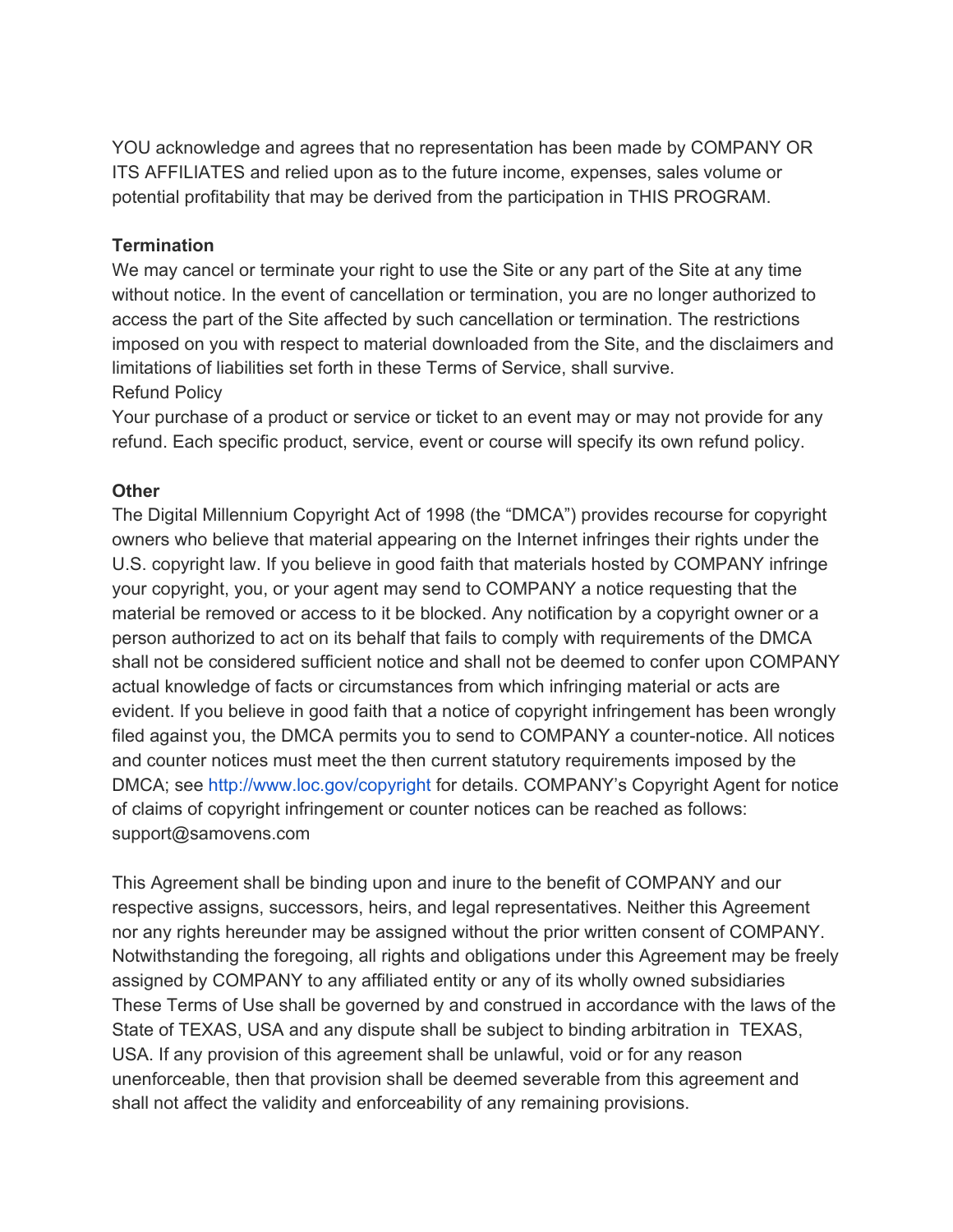YOU acknowledge and agrees that no representation has been made by COMPANY OR ITS AFFILIATES and relied upon as to the future income, expenses, sales volume or potential profitability that may be derived from the participation in THIS PROGRAM.

## **Termination**

We may cancel or terminate your right to use the Site or any part of the Site at any time without notice. In the event of cancellation or termination, you are no longer authorized to access the part of the Site affected by such cancellation or termination. The restrictions imposed on you with respect to material downloaded from the Site, and the disclaimers and limitations of liabilities set forth in these Terms of Service, shall survive. Refund Policy

Your purchase of a product or service or ticket to an event may or may not provide for any refund. Each specific product, service, event or course will specify its own refund policy.

## **Other**

The Digital Millennium Copyright Act of 1998 (the "DMCA") provides recourse for copyright owners who believe that material appearing on the Internet infringes their rights under the U.S. copyright law. If you believe in good faith that materials hosted by COMPANY infringe your copyright, you, or your agent may send to COMPANY a notice requesting that the material be removed or access to it be blocked. Any notification by a copyright owner or a person authorized to act on its behalf that fails to comply with requirements of the DMCA shall not be considered sufficient notice and shall not be deemed to confer upon COMPANY actual knowledge of facts or circumstances from which infringing material or acts are evident. If you believe in good faith that a notice of copyright infringement has been wrongly filed against you, the DMCA permits you to send to COMPANY a counter-notice. All notices and counter notices must meet the then current statutory requirements imposed by the DMCA; see <http://www.loc.gov/copyright> for details. COMPANY's Copyright Agent for notice of claims of copyright infringement or counter notices can be reached as follows: support@samovens.com

This Agreement shall be binding upon and inure to the benefit of COMPANY and our respective assigns, successors, heirs, and legal representatives. Neither this Agreement nor any rights hereunder may be assigned without the prior written consent of COMPANY. Notwithstanding the foregoing, all rights and obligations under this Agreement may be freely assigned by COMPANY to any affiliated entity or any of its wholly owned subsidiaries These Terms of Use shall be governed by and construed in accordance with the laws of the State of TEXAS, USA and any dispute shall be subject to binding arbitration in TEXAS, USA. If any provision of this agreement shall be unlawful, void or for any reason unenforceable, then that provision shall be deemed severable from this agreement and shall not affect the validity and enforceability of any remaining provisions.